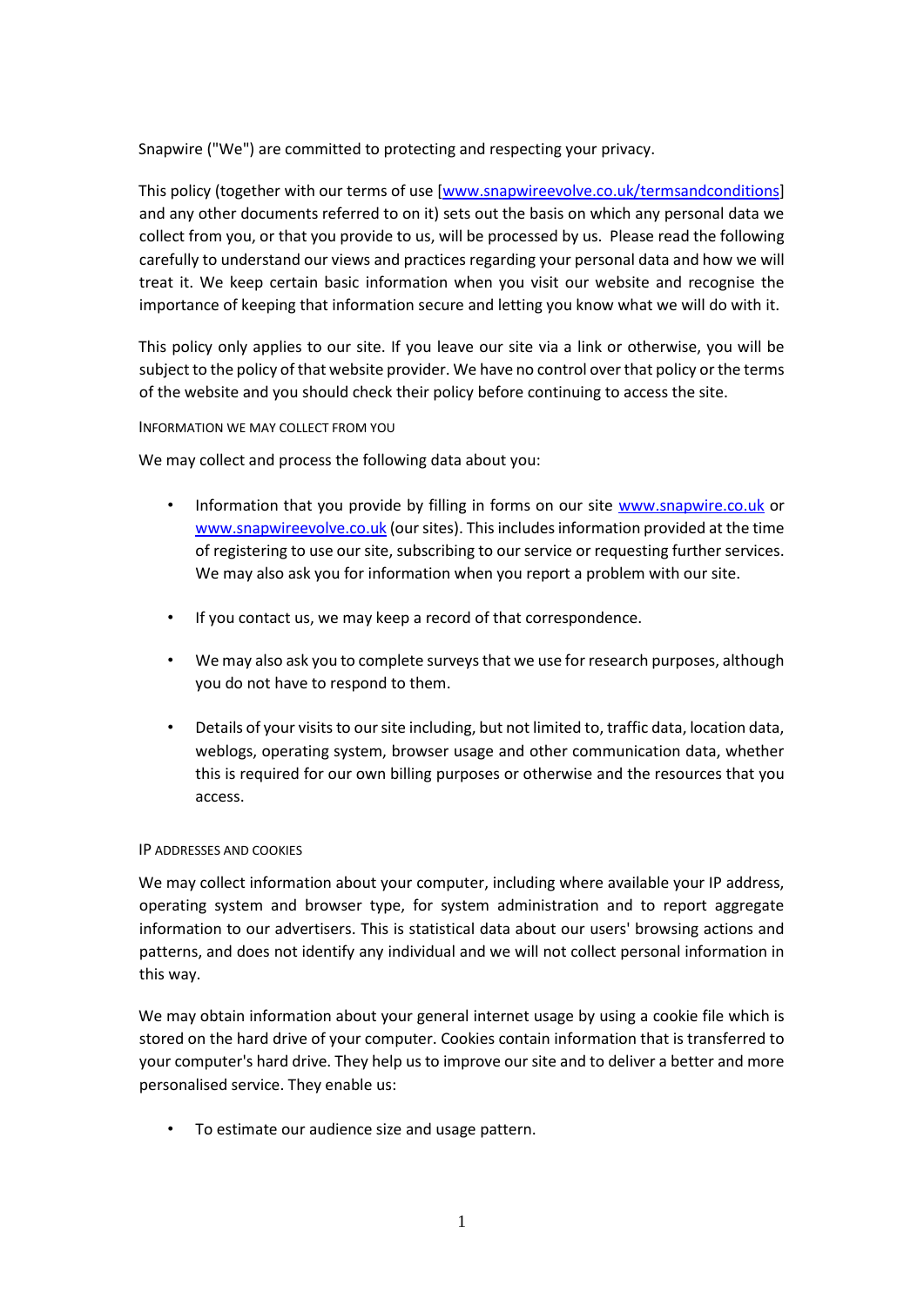Snapwire ("We") are committed to protecting and respecting your privacy.

This policy (together with our terms of use [www.snapwireevolve.co.uk/termsandconditions] and any other documents referred to on it) sets out the basis on which any personal data we collect from you, or that you provide to us, will be processed by us. Please read the following carefully to understand our views and practices regarding your personal data and how we will treat it. We keep certain basic information when you visit our website and recognise the importance of keeping that information secure and letting you know what we will do with it.

This policy only applies to our site. If you leave our site via a link or otherwise, you will be subject to the policy of that website provider. We have no control over that policy or the terms of the website and you should check their policy before continuing to access the site.

# INFORMATION WE MAY COLLECT FROM YOU

We may collect and process the following data about you:

- Information that you provide by filling in forms on our site [www.snapwire.co.uk](http://www.snapwire.co.uk/) or [www.snapwireevolve.co.uk](http://www.snapwireevolve.co.uk/) [\(](http://www.snapwireevolve.co.uk/)our sites). This includes information provided at the time of registering to use our site, subscribing to our service or requesting further services. We may also ask you for information when you report a problem with our site.
- If you contact us, we may keep a record of that correspondence.
- We may also ask you to complete surveys that we use for research purposes, although you do not have to respond to them.
- Details of your visits to our site including, but not limited to, traffic data, location data, weblogs, operating system, browser usage and other communication data, whether this is required for our own billing purposes or otherwise and the resources that you access.

# IP ADDRESSES AND COOKIES

We may collect information about your computer, including where available your IP address, operating system and browser type, for system administration and to report aggregate information to our advertisers. This is statistical data about our users' browsing actions and patterns, and does not identify any individual and we will not collect personal information in this way.

We may obtain information about your general internet usage by using a cookie file which is stored on the hard drive of your computer. Cookies contain information that is transferred to your computer's hard drive. They help us to improve our site and to deliver a better and more personalised service. They enable us:

• To estimate our audience size and usage pattern.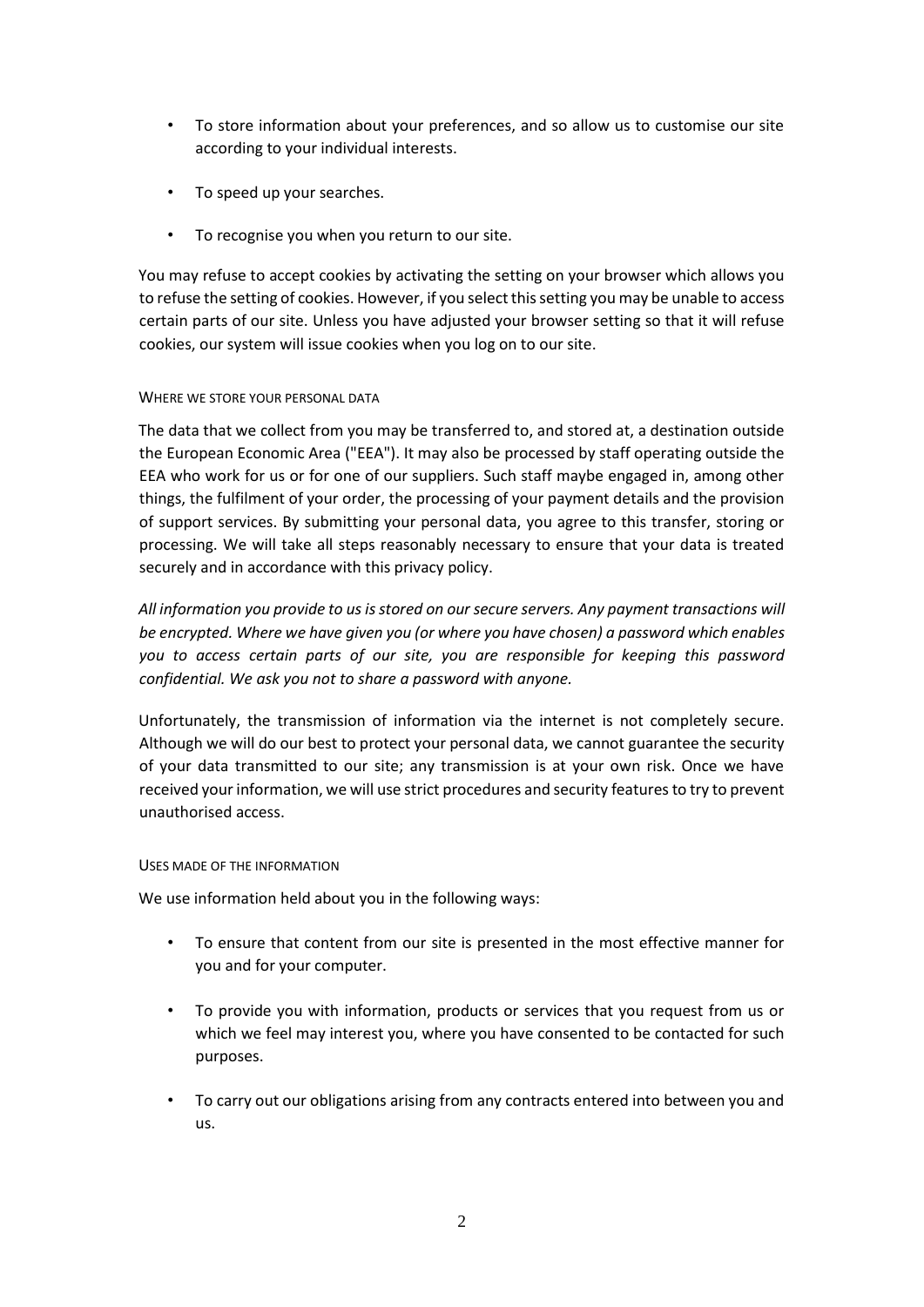- To store information about your preferences, and so allow us to customise our site according to your individual interests.
- To speed up your searches.
- To recognise you when you return to our site.

You may refuse to accept cookies by activating the setting on your browser which allows you to refuse the setting of cookies. However, if you select this setting you may be unable to access certain parts of our site. Unless you have adjusted your browser setting so that it will refuse cookies, our system will issue cookies when you log on to our site.

### WHERE WE STORE YOUR PERSONAL DATA

The data that we collect from you may be transferred to, and stored at, a destination outside the European Economic Area ("EEA"). It may also be processed by staff operating outside the EEA who work for us or for one of our suppliers. Such staff maybe engaged in, among other things, the fulfilment of your order, the processing of your payment details and the provision of support services. By submitting your personal data, you agree to this transfer, storing or processing. We will take all steps reasonably necessary to ensure that your data is treated securely and in accordance with this privacy policy.

*All information you provide to us is stored on our secure servers. Any payment transactions will be encrypted. Where we have given you (or where you have chosen) a password which enables you to access certain parts of our site, you are responsible for keeping this password confidential. We ask you not to share a password with anyone.* 

Unfortunately, the transmission of information via the internet is not completely secure. Although we will do our best to protect your personal data, we cannot guarantee the security of your data transmitted to our site; any transmission is at your own risk. Once we have received your information, we will use strict procedures and security features to try to prevent unauthorised access.

#### USES MADE OF THE INFORMATION

We use information held about you in the following ways:

- To ensure that content from our site is presented in the most effective manner for you and for your computer.
- To provide you with information, products or services that you request from us or which we feel may interest you, where you have consented to be contacted for such purposes.
- To carry out our obligations arising from any contracts entered into between you and us.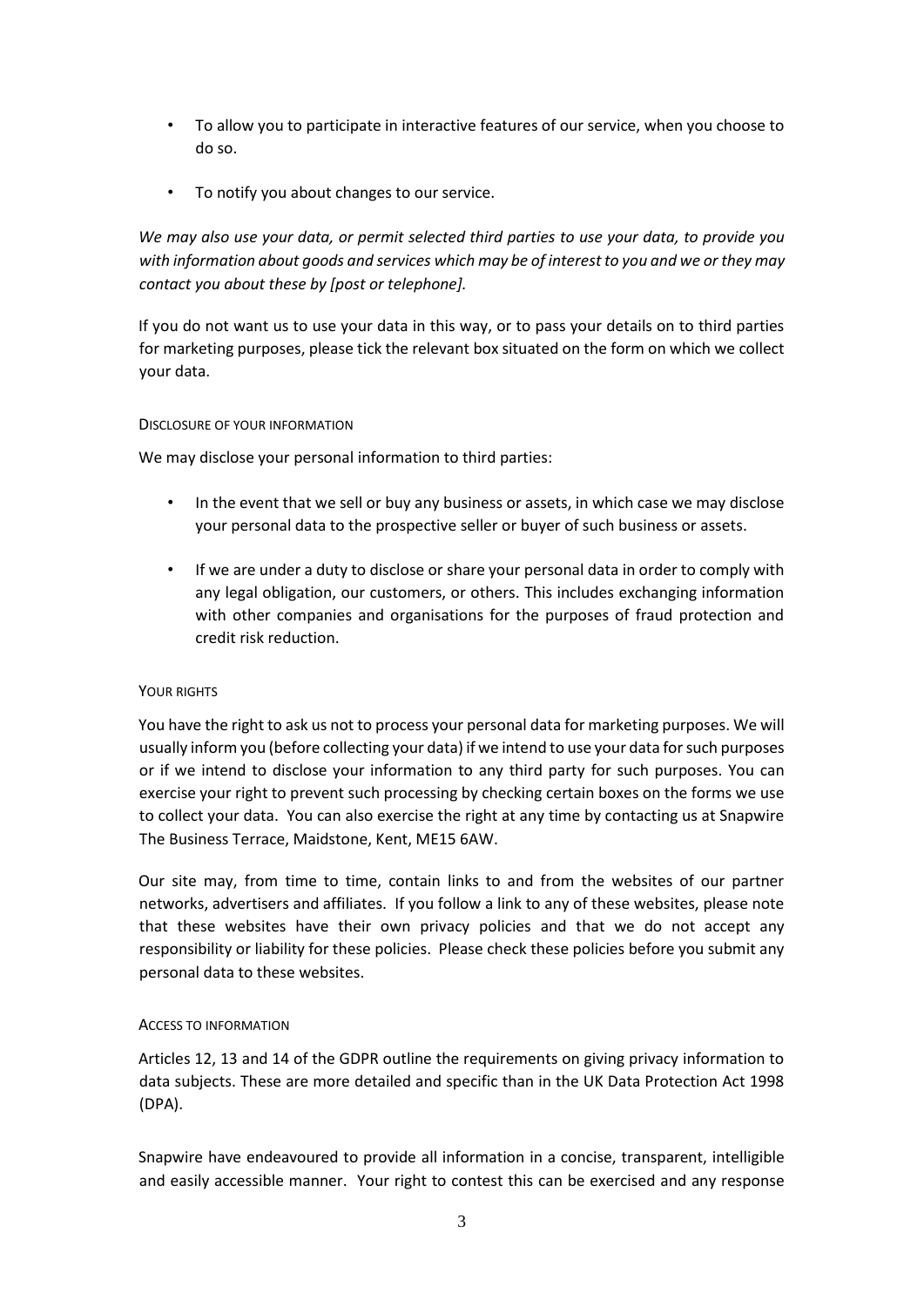- To allow you to participate in interactive features of our service, when you choose to do so.
- To notify you about changes to our service.

*We may also use your data, or permit selected third parties to use your data, to provide you with information about goods and services which may be of interest to you and we or they may contact you about these by [post or telephone].* 

If you do not want us to use your data in this way, or to pass your details on to third parties for marketing purposes, please tick the relevant box situated on the form on which we collect your data.

### DISCLOSURE OF YOUR INFORMATION

We may disclose your personal information to third parties:

- In the event that we sell or buy any business or assets, in which case we may disclose your personal data to the prospective seller or buyer of such business or assets.
- If we are under a duty to disclose or share your personal data in order to comply with any legal obligation, our customers, or others. This includes exchanging information with other companies and organisations for the purposes of fraud protection and credit risk reduction.

# YOUR RIGHTS

You have the right to ask us not to process your personal data for marketing purposes. We will usually inform you (before collecting your data) if we intend to use your data for such purposes or if we intend to disclose your information to any third party for such purposes. You can exercise your right to prevent such processing by checking certain boxes on the forms we use to collect your data. You can also exercise the right at any time by contacting us at Snapwire The Business Terrace, Maidstone, Kent, ME15 6AW.

Our site may, from time to time, contain links to and from the websites of our partner networks, advertisers and affiliates. If you follow a link to any of these websites, please note that these websites have their own privacy policies and that we do not accept any responsibility or liability for these policies. Please check these policies before you submit any personal data to these websites.

# ACCESS TO INFORMATION

Articles 12, 13 and 14 of the GDPR outline the requirements on giving privacy information to data subjects. These are more detailed and specific than in the UK Data Protection Act 1998 (DPA).

Snapwire have endeavoured to provide all information in a concise, transparent, intelligible and easily accessible manner. Your right to contest this can be exercised and any response